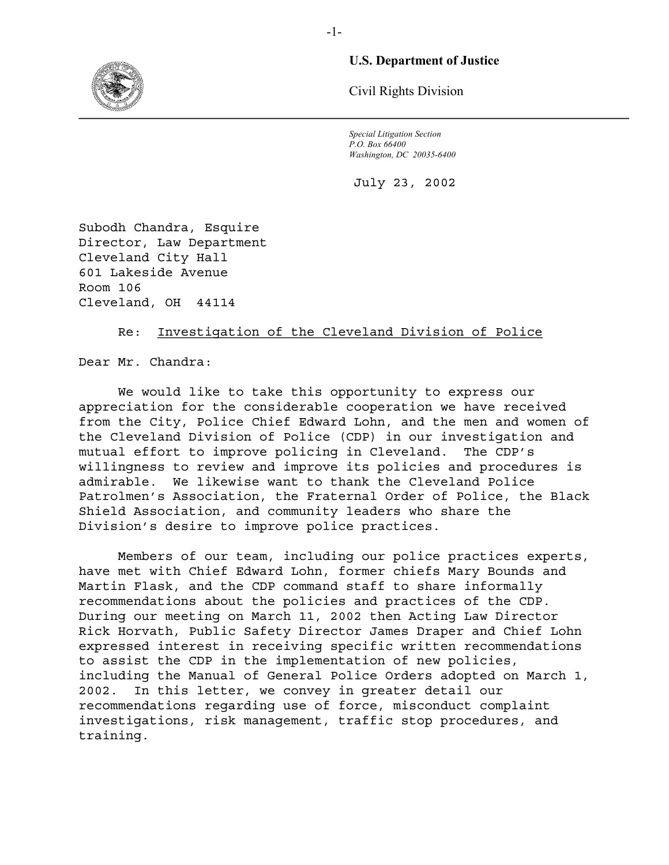

## **U.S. Department of Justice**

Civil Rights Division

*Special Litigation Section P.O. Box 66400 Washington, DC 20035-6400* 

July 23, 2002

Subodh Chandra, Esquire Director, Law Department Cleveland City Hall 601 Lakeside Avenue Room 106 Cleveland, OH 44114

### Re: Investigation of the Cleveland Division of Police

Dear Mr. Chandra:

We would like to take this opportunity to express our appreciation for the considerable cooperation we have received from the City, Police Chief Edward Lohn, and the men and women of the Cleveland Division of Police (CDP) in our investigation and mutual effort to improve policing in Cleveland. The CDP's willingness to review and improve its policies and procedures is admirable. We likewise want to thank the Cleveland Police Patrolmen's Association, the Fraternal Order of Police, the Black Shield Association, and community leaders who share the Division's desire to improve police practices.

Members of our team, including our police practices experts, have met with Chief Edward Lohn, former chiefs Mary Bounds and Martin Flask, and the CDP command staff to share informally recommendations about the policies and practices of the CDP. During our meeting on March 11, 2002 then Acting Law Director Rick Horvath, Public Safety Director James Draper and Chief Lohn expressed interest in receiving specific written recommendations to assist the CDP in the implementation of new policies, including the Manual of General Police Orders adopted on March 1, 2002. In this letter, we convey in greater detail our recommendations regarding use of force, misconduct complaint investigations, risk management, traffic stop procedures, and training.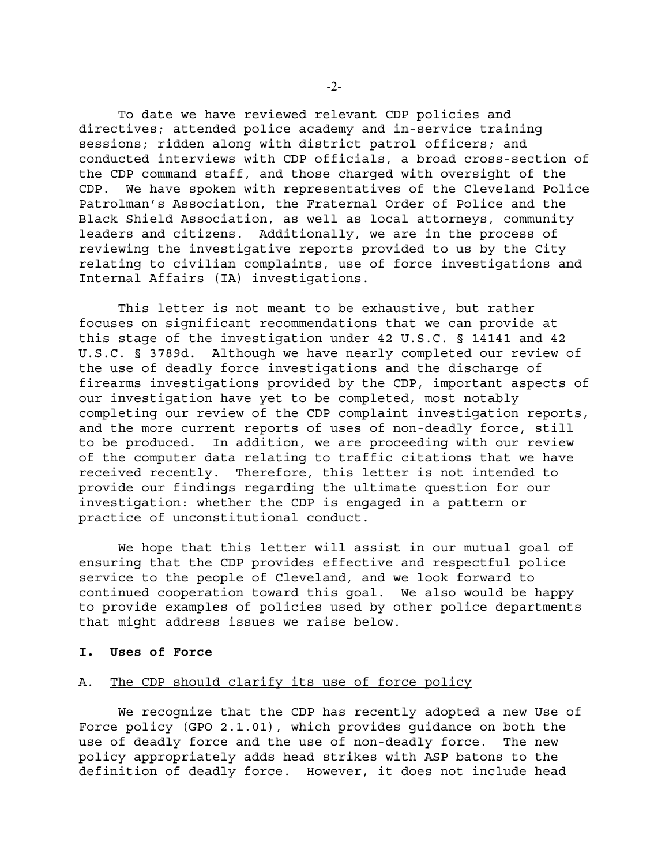To date we have reviewed relevant CDP policies and directives; attended police academy and in-service training sessions; ridden along with district patrol officers; and conducted interviews with CDP officials, a broad cross-section of the CDP command staff, and those charged with oversight of the CDP. We have spoken with representatives of the Cleveland Police Patrolman's Association, the Fraternal Order of Police and the Black Shield Association, as well as local attorneys, community leaders and citizens. Additionally, we are in the process of reviewing the investigative reports provided to us by the City relating to civilian complaints, use of force investigations and Internal Affairs (IA) investigations.

This letter is not meant to be exhaustive, but rather focuses on significant recommendations that we can provide at this stage of the investigation under 42 U.S.C. § 14141 and 42 U.S.C. § 3789d. Although we have nearly completed our review of the use of deadly force investigations and the discharge of firearms investigations provided by the CDP, important aspects of our investigation have yet to be completed, most notably completing our review of the CDP complaint investigation reports, and the more current reports of uses of non-deadly force, still to be produced. In addition, we are proceeding with our review of the computer data relating to traffic citations that we have received recently. Therefore, this letter is not intended to provide our findings regarding the ultimate question for our investigation: whether the CDP is engaged in a pattern or practice of unconstitutional conduct.

We hope that this letter will assist in our mutual goal of ensuring that the CDP provides effective and respectful police service to the people of Cleveland, and we look forward to continued cooperation toward this goal. We also would be happy to provide examples of policies used by other police departments that might address issues we raise below.

#### **I. Uses of Force**

#### A. The CDP should clarify its use of force policy

We recognize that the CDP has recently adopted a new Use of Force policy (GPO 2.1.01), which provides guidance on both the use of deadly force and the use of non-deadly force. The new policy appropriately adds head strikes with ASP batons to the definition of deadly force. However, it does not include head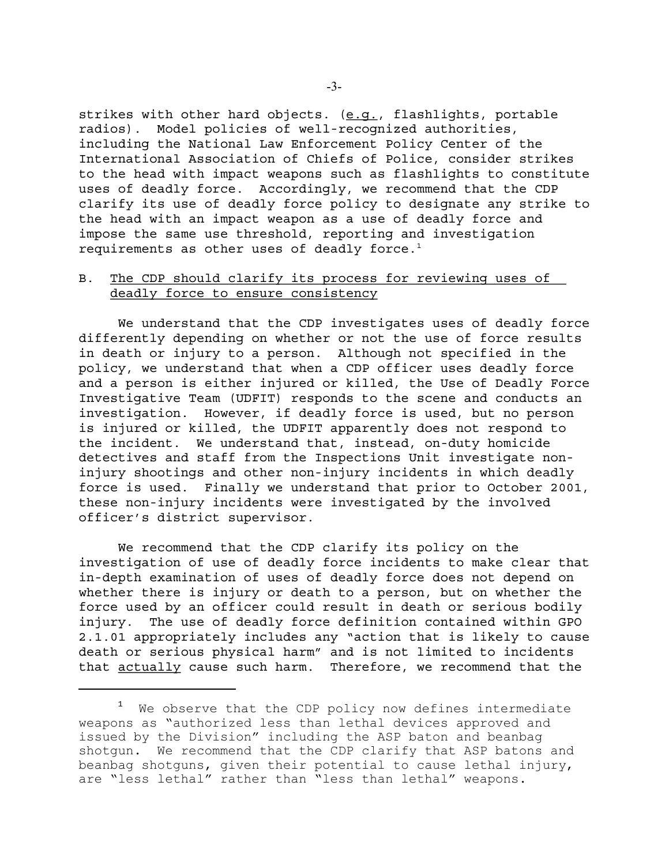strikes with other hard objects. (e.g., flashlights, portable radios). Model policies of well-recognized authorities, including the National Law Enforcement Policy Center of the International Association of Chiefs of Police, consider strikes to the head with impact weapons such as flashlights to constitute uses of deadly force. Accordingly, we recommend that the CDP clarify its use of deadly force policy to designate any strike to the head with an impact weapon as a use of deadly force and impose the same use threshold, reporting and investigation requirements as other uses of deadly force.<sup>1</sup>

## B. The CDP should clarify its process for reviewing uses of deadly force to ensure consistency

We understand that the CDP investigates uses of deadly force differently depending on whether or not the use of force results in death or injury to a person. Although not specified in the policy, we understand that when a CDP officer uses deadly force and a person is either injured or killed, the Use of Deadly Force Investigative Team (UDFIT) responds to the scene and conducts an investigation. However, if deadly force is used, but no person is injured or killed, the UDFIT apparently does not respond to the incident. We understand that, instead, on-duty homicide detectives and staff from the Inspections Unit investigate noninjury shootings and other non-injury incidents in which deadly force is used. Finally we understand that prior to October 2001, these non-injury incidents were investigated by the involved officer's district supervisor.

We recommend that the CDP clarify its policy on the investigation of use of deadly force incidents to make clear that in-depth examination of uses of deadly force does not depend on whether there is injury or death to a person, but on whether the force used by an officer could result in death or serious bodily injury. The use of deadly force definition contained within GPO 2.1.01 appropriately includes any "action that is likely to cause death or serious physical harm" and is not limited to incidents that actually cause such harm. Therefore, we recommend that the

<sup>&</sup>lt;sup>1</sup> We observe that the CDP policy now defines intermediate weapons as "authorized less than lethal devices approved and issued by the Division" including the ASP baton and beanbag shotgun. We recommend that the CDP clarify that ASP batons and beanbag shotguns, given their potential to cause lethal injury, are "less lethal" rather than "less than lethal" weapons.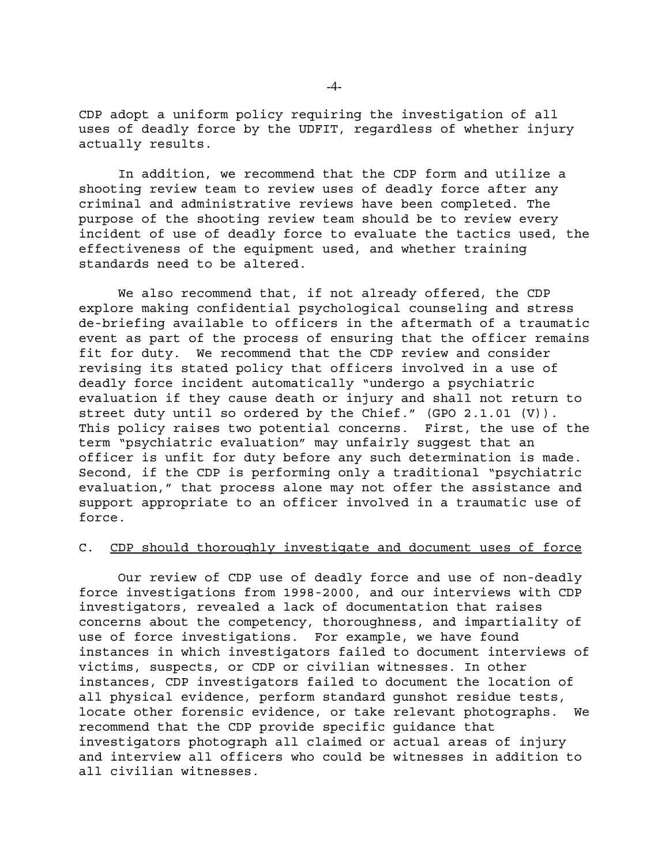CDP adopt a uniform policy requiring the investigation of all uses of deadly force by the UDFIT, regardless of whether injury actually results.

In addition, we recommend that the CDP form and utilize a shooting review team to review uses of deadly force after any criminal and administrative reviews have been completed. The purpose of the shooting review team should be to review every incident of use of deadly force to evaluate the tactics used, the effectiveness of the equipment used, and whether training standards need to be altered.

We also recommend that, if not already offered, the CDP explore making confidential psychological counseling and stress de-briefing available to officers in the aftermath of a traumatic event as part of the process of ensuring that the officer remains fit for duty. We recommend that the CDP review and consider revising its stated policy that officers involved in a use of deadly force incident automatically "undergo a psychiatric evaluation if they cause death or injury and shall not return to street duty until so ordered by the Chief." (GPO 2.1.01 (V)). This policy raises two potential concerns. First, the use of the term "psychiatric evaluation" may unfairly suggest that an officer is unfit for duty before any such determination is made. Second, if the CDP is performing only a traditional "psychiatric evaluation," that process alone may not offer the assistance and support appropriate to an officer involved in a traumatic use of force.

### C. CDP should thoroughly investigate and document uses of force

Our review of CDP use of deadly force and use of non-deadly force investigations from 1998-2000, and our interviews with CDP investigators, revealed a lack of documentation that raises concerns about the competency, thoroughness, and impartiality of use of force investigations. For example, we have found instances in which investigators failed to document interviews of victims, suspects, or CDP or civilian witnesses. In other instances, CDP investigators failed to document the location of all physical evidence, perform standard gunshot residue tests, locate other forensic evidence, or take relevant photographs. We recommend that the CDP provide specific guidance that investigators photograph all claimed or actual areas of injury and interview all officers who could be witnesses in addition to all civilian witnesses.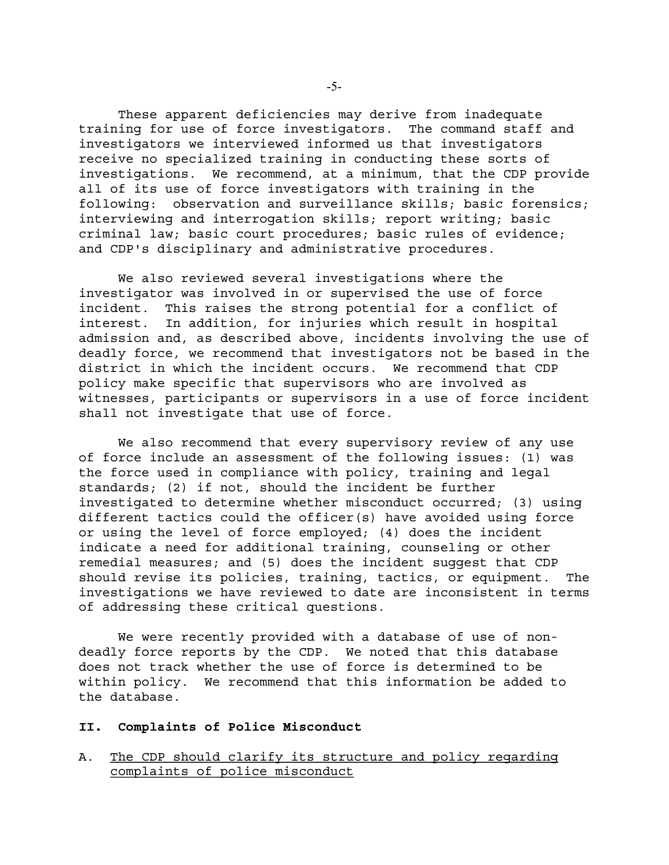These apparent deficiencies may derive from inadequate training for use of force investigators. The command staff and investigators we interviewed informed us that investigators receive no specialized training in conducting these sorts of investigations. We recommend, at a minimum, that the CDP provide all of its use of force investigators with training in the following: observation and surveillance skills; basic forensics; interviewing and interrogation skills; report writing; basic criminal law; basic court procedures; basic rules of evidence; and CDP's disciplinary and administrative procedures.

We also reviewed several investigations where the investigator was involved in or supervised the use of force incident. This raises the strong potential for a conflict of interest. In addition, for injuries which result in hospital admission and, as described above, incidents involving the use of deadly force, we recommend that investigators not be based in the district in which the incident occurs. We recommend that CDP policy make specific that supervisors who are involved as witnesses, participants or supervisors in a use of force incident shall not investigate that use of force.

We also recommend that every supervisory review of any use of force include an assessment of the following issues: (1) was the force used in compliance with policy, training and legal standards; (2) if not, should the incident be further investigated to determine whether misconduct occurred; (3) using different tactics could the officer(s) have avoided using force or using the level of force employed; (4) does the incident indicate a need for additional training, counseling or other remedial measures; and (5) does the incident suggest that CDP should revise its policies, training, tactics, or equipment. The investigations we have reviewed to date are inconsistent in terms of addressing these critical questions.

We were recently provided with a database of use of nondeadly force reports by the CDP. We noted that this database does not track whether the use of force is determined to be within policy. We recommend that this information be added to the database.

#### **II. Complaints of Police Misconduct**

A. The CDP should clarify its structure and policy regarding complaints of police misconduct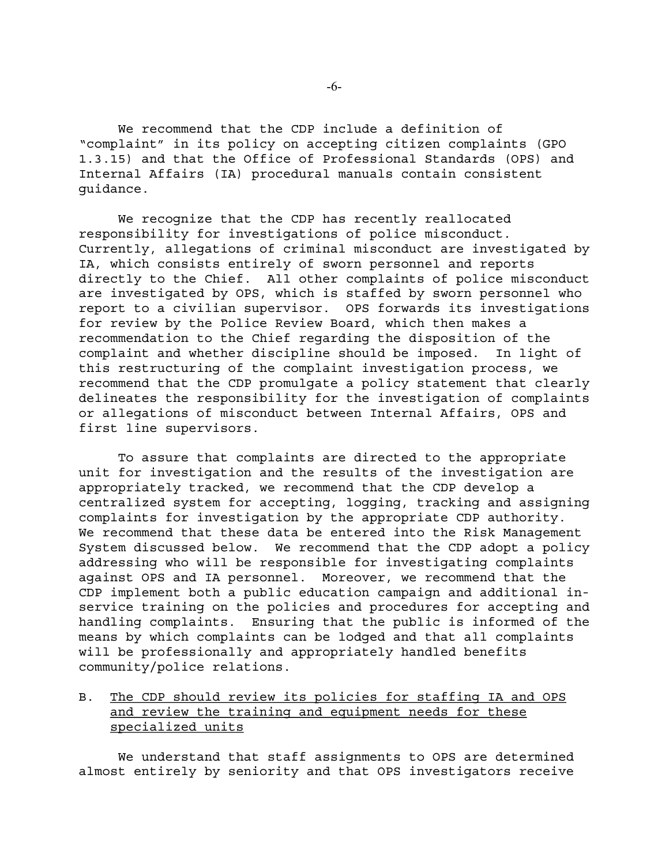We recommend that the CDP include a definition of "complaint" in its policy on accepting citizen complaints (GPO 1.3.15) and that the Office of Professional Standards (OPS) and Internal Affairs (IA) procedural manuals contain consistent guidance.

We recognize that the CDP has recently reallocated responsibility for investigations of police misconduct. Currently, allegations of criminal misconduct are investigated by IA, which consists entirely of sworn personnel and reports directly to the Chief. All other complaints of police misconduct are investigated by OPS, which is staffed by sworn personnel who report to a civilian supervisor. OPS forwards its investigations for review by the Police Review Board, which then makes a recommendation to the Chief regarding the disposition of the complaint and whether discipline should be imposed. In light of this restructuring of the complaint investigation process, we recommend that the CDP promulgate a policy statement that clearly delineates the responsibility for the investigation of complaints or allegations of misconduct between Internal Affairs, OPS and first line supervisors.

To assure that complaints are directed to the appropriate unit for investigation and the results of the investigation are appropriately tracked, we recommend that the CDP develop a centralized system for accepting, logging, tracking and assigning complaints for investigation by the appropriate CDP authority. We recommend that these data be entered into the Risk Management System discussed below. We recommend that the CDP adopt a policy addressing who will be responsible for investigating complaints against OPS and IA personnel. Moreover, we recommend that the CDP implement both a public education campaign and additional inservice training on the policies and procedures for accepting and handling complaints. Ensuring that the public is informed of the means by which complaints can be lodged and that all complaints will be professionally and appropriately handled benefits community/police relations.

B. The CDP should review its policies for staffing IA and OPS and review the training and equipment needs for these specialized units

We understand that staff assignments to OPS are determined almost entirely by seniority and that OPS investigators receive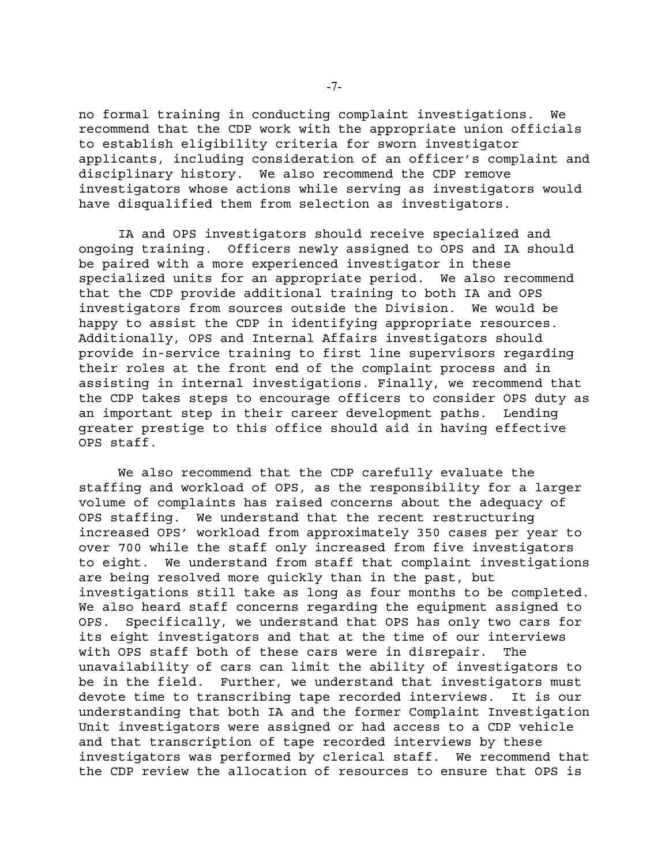no formal training in conducting complaint investigations. We recommend that the CDP work with the appropriate union officials to establish eligibility criteria for sworn investigator applicants, including consideration of an officer's complaint and disciplinary history. We also recommend the CDP remove investigators whose actions while serving as investigators would have disqualified them from selection as investigators.

IA and OPS investigators should receive specialized and ongoing training. Officers newly assigned to OPS and IA should be paired with a more experienced investigator in these specialized units for an appropriate period. We also recommend that the CDP provide additional training to both IA and OPS investigators from sources outside the Division. We would be happy to assist the CDP in identifying appropriate resources. Additionally, OPS and Internal Affairs investigators should provide in-service training to first line supervisors regarding their roles at the front end of the complaint process and in assisting in internal investigations. Finally, we recommend that the CDP takes steps to encourage officers to consider OPS duty as an important step in their career development paths. Lending greater prestige to this office should aid in having effective OPS staff.

We also recommend that the CDP carefully evaluate the staffing and workload of OPS, as the responsibility for a larger volume of complaints has raised concerns about the adequacy of OPS staffing. We understand that the recent restructuring increased OPS' workload from approximately 350 cases per year to over 700 while the staff only increased from five investigators to eight. We understand from staff that complaint investigations are being resolved more quickly than in the past, but investigations still take as long as four months to be completed. We also heard staff concerns regarding the equipment assigned to OPS. Specifically, we understand that OPS has only two cars for its eight investigators and that at the time of our interviews with OPS staff both of these cars were in disrepair. The unavailability of cars can limit the ability of investigators to be in the field. Further, we understand that investigators must devote time to transcribing tape recorded interviews. It is our understanding that both IA and the former Complaint Investigation Unit investigators were assigned or had access to a CDP vehicle and that transcription of tape recorded interviews by these investigators was performed by clerical staff. We recommend that the CDP review the allocation of resources to ensure that OPS is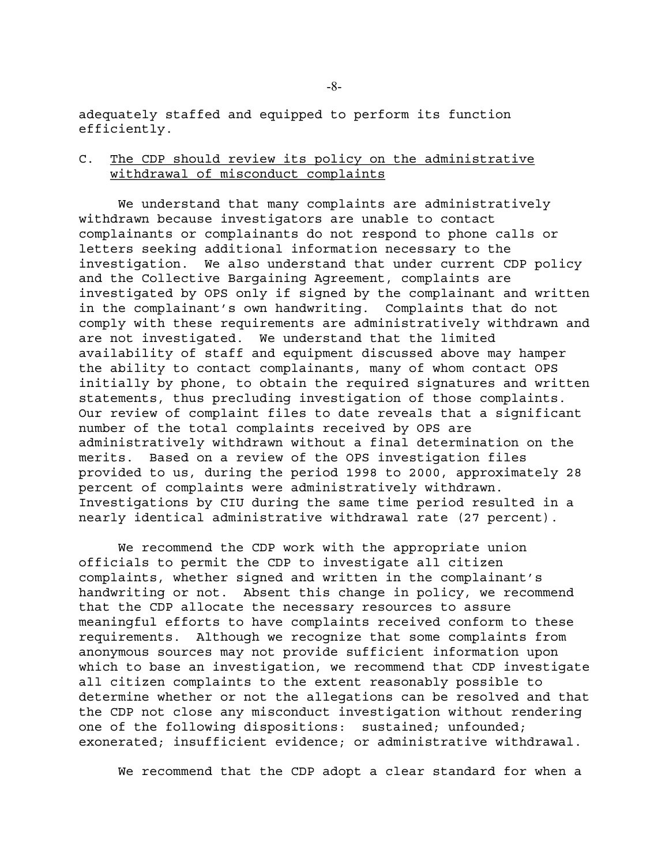adequately staffed and equipped to perform its function efficiently.

# C. The CDP should review its policy on the administrative withdrawal of misconduct complaints

We understand that many complaints are administratively withdrawn because investigators are unable to contact complainants or complainants do not respond to phone calls or letters seeking additional information necessary to the investigation. We also understand that under current CDP policy and the Collective Bargaining Agreement, complaints are investigated by OPS only if signed by the complainant and written in the complainant's own handwriting. Complaints that do not comply with these requirements are administratively withdrawn and are not investigated. We understand that the limited availability of staff and equipment discussed above may hamper the ability to contact complainants, many of whom contact OPS initially by phone, to obtain the required signatures and written statements, thus precluding investigation of those complaints. Our review of complaint files to date reveals that a significant number of the total complaints received by OPS are administratively withdrawn without a final determination on the merits. Based on a review of the OPS investigation files provided to us, during the period 1998 to 2000, approximately 28 percent of complaints were administratively withdrawn. Investigations by CIU during the same time period resulted in a nearly identical administrative withdrawal rate (27 percent).

We recommend the CDP work with the appropriate union officials to permit the CDP to investigate all citizen complaints, whether signed and written in the complainant's handwriting or not. Absent this change in policy, we recommend that the CDP allocate the necessary resources to assure meaningful efforts to have complaints received conform to these requirements. Although we recognize that some complaints from anonymous sources may not provide sufficient information upon which to base an investigation, we recommend that CDP investigate all citizen complaints to the extent reasonably possible to determine whether or not the allegations can be resolved and that the CDP not close any misconduct investigation without rendering one of the following dispositions: sustained; unfounded; exonerated; insufficient evidence; or administrative withdrawal.

We recommend that the CDP adopt a clear standard for when a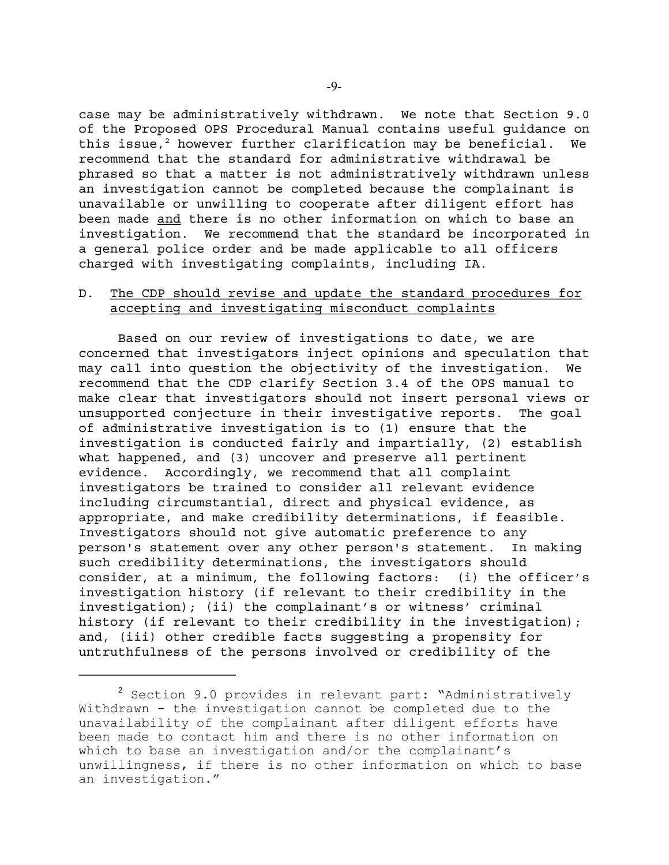case may be administratively withdrawn. We note that Section 9.0 of the Proposed OPS Procedural Manual contains useful guidance on this issue,<sup>2</sup> however further clarification may be beneficial. We recommend that the standard for administrative withdrawal be phrased so that a matter is not administratively withdrawn unless an investigation cannot be completed because the complainant is unavailable or unwilling to cooperate after diligent effort has been made and there is no other information on which to base an investigation. We recommend that the standard be incorporated in a general police order and be made applicable to all officers charged with investigating complaints, including IA.

### D. The CDP should revise and update the standard procedures for accepting and investigating misconduct complaints

Based on our review of investigations to date, we are concerned that investigators inject opinions and speculation that may call into question the objectivity of the investigation. We recommend that the CDP clarify Section 3.4 of the OPS manual to make clear that investigators should not insert personal views or unsupported conjecture in their investigative reports. The goal of administrative investigation is to (1) ensure that the investigation is conducted fairly and impartially, (2) establish what happened, and (3) uncover and preserve all pertinent evidence. Accordingly, we recommend that all complaint investigators be trained to consider all relevant evidence including circumstantial, direct and physical evidence, as appropriate, and make credibility determinations, if feasible. Investigators should not give automatic preference to any person's statement over any other person's statement. In making such credibility determinations, the investigators should consider, at a minimum, the following factors: (i) the officer's investigation history (if relevant to their credibility in the investigation); (ii) the complainant's or witness' criminal history (if relevant to their credibility in the investigation); and, (iii) other credible facts suggesting a propensity for untruthfulness of the persons involved or credibility of the

<sup>&</sup>lt;sup>2</sup> Section 9.0 provides in relevant part: "Administratively Withdrawn - the investigation cannot be completed due to the unavailability of the complainant after diligent efforts have been made to contact him and there is no other information on which to base an investigation and/or the complainant's unwillingness, if there is no other information on which to base an investigation."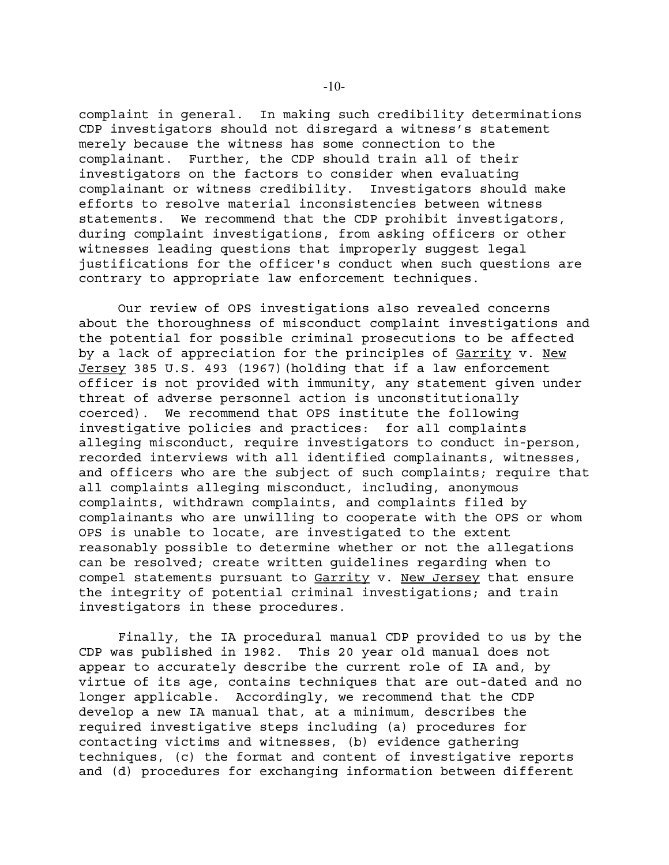complaint in general. In making such credibility determinations CDP investigators should not disregard a witness's statement merely because the witness has some connection to the complainant. Further, the CDP should train all of their investigators on the factors to consider when evaluating complainant or witness credibility. Investigators should make efforts to resolve material inconsistencies between witness statements. We recommend that the CDP prohibit investigators, during complaint investigations, from asking officers or other witnesses leading questions that improperly suggest legal justifications for the officer's conduct when such questions are contrary to appropriate law enforcement techniques.

Our review of OPS investigations also revealed concerns about the thoroughness of misconduct complaint investigations and the potential for possible criminal prosecutions to be affected by a lack of appreciation for the principles of Garrity v. New Jersey 385 U.S. 493 (1967)(holding that if a law enforcement officer is not provided with immunity, any statement given under threat of adverse personnel action is unconstitutionally coerced). We recommend that OPS institute the following investigative policies and practices: for all complaints alleging misconduct, require investigators to conduct in-person, recorded interviews with all identified complainants, witnesses, and officers who are the subject of such complaints; require that all complaints alleging misconduct, including, anonymous complaints, withdrawn complaints, and complaints filed by complainants who are unwilling to cooperate with the OPS or whom OPS is unable to locate, are investigated to the extent reasonably possible to determine whether or not the allegations can be resolved; create written guidelines regarding when to compel statements pursuant to Garrity v. New Jersey that ensure the integrity of potential criminal investigations; and train investigators in these procedures.

Finally, the IA procedural manual CDP provided to us by the CDP was published in 1982. This 20 year old manual does not appear to accurately describe the current role of IA and, by virtue of its age, contains techniques that are out-dated and no longer applicable. Accordingly, we recommend that the CDP develop a new IA manual that, at a minimum, describes the required investigative steps including (a) procedures for contacting victims and witnesses, (b) evidence gathering techniques, (c) the format and content of investigative reports and (d) procedures for exchanging information between different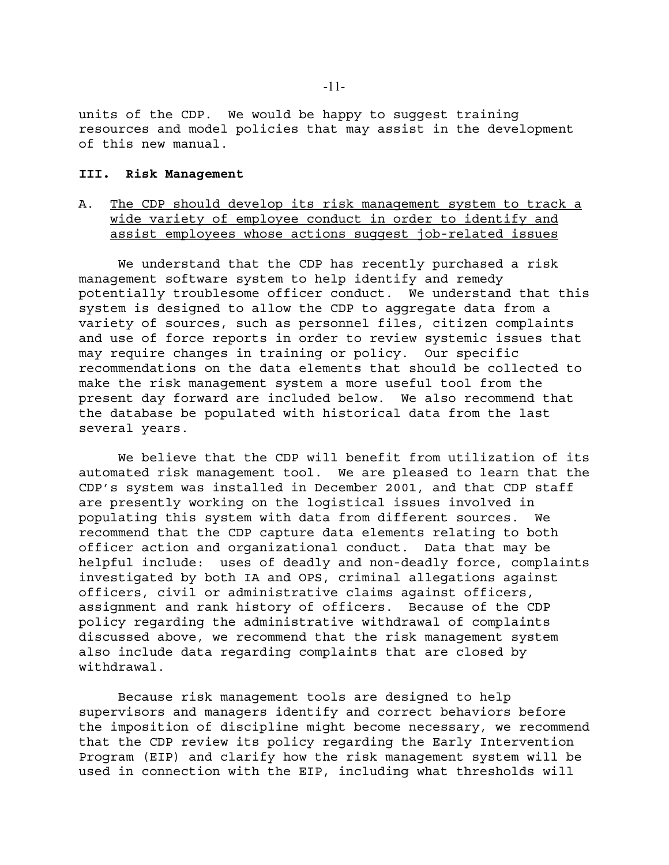units of the CDP. We would be happy to suggest training resources and model policies that may assist in the development of this new manual.

### **III. Risk Management**

A. The CDP should develop its risk management system to track a wide variety of employee conduct in order to identify and assist employees whose actions suggest job-related issues

We understand that the CDP has recently purchased a risk management software system to help identify and remedy potentially troublesome officer conduct. We understand that this system is designed to allow the CDP to aggregate data from a variety of sources, such as personnel files, citizen complaints and use of force reports in order to review systemic issues that may require changes in training or policy. Our specific recommendations on the data elements that should be collected to make the risk management system a more useful tool from the present day forward are included below. We also recommend that the database be populated with historical data from the last several years.

We believe that the CDP will benefit from utilization of its automated risk management tool. We are pleased to learn that the CDP's system was installed in December 2001, and that CDP staff are presently working on the logistical issues involved in populating this system with data from different sources. We recommend that the CDP capture data elements relating to both officer action and organizational conduct. Data that may be helpful include: uses of deadly and non-deadly force, complaints investigated by both IA and OPS, criminal allegations against officers, civil or administrative claims against officers, assignment and rank history of officers. Because of the CDP policy regarding the administrative withdrawal of complaints discussed above, we recommend that the risk management system also include data regarding complaints that are closed by withdrawal.

Because risk management tools are designed to help supervisors and managers identify and correct behaviors before the imposition of discipline might become necessary, we recommend that the CDP review its policy regarding the Early Intervention Program (EIP) and clarify how the risk management system will be used in connection with the EIP, including what thresholds will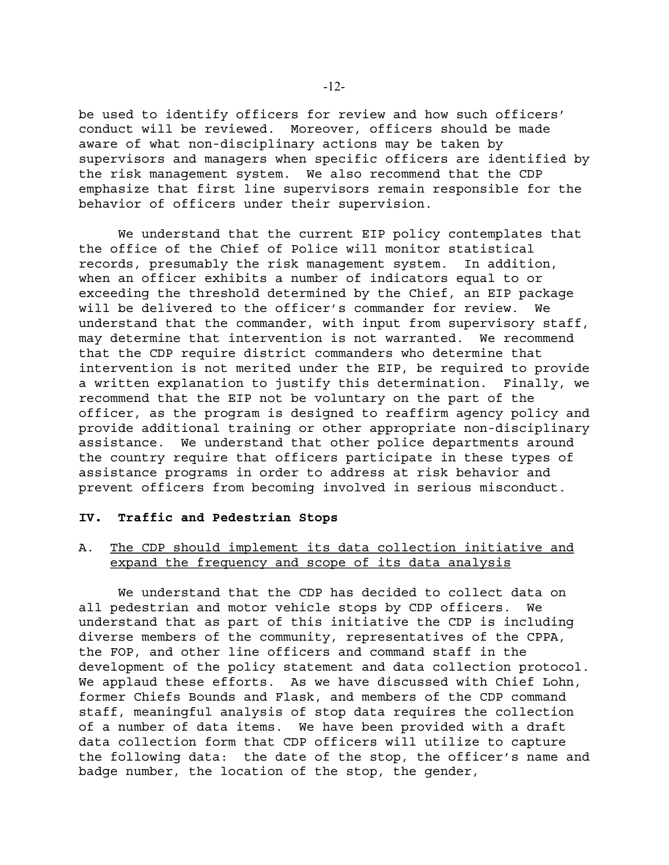be used to identify officers for review and how such officers' conduct will be reviewed. Moreover, officers should be made aware of what non-disciplinary actions may be taken by supervisors and managers when specific officers are identified by the risk management system. We also recommend that the CDP emphasize that first line supervisors remain responsible for the behavior of officers under their supervision.

We understand that the current EIP policy contemplates that the office of the Chief of Police will monitor statistical records, presumably the risk management system. In addition, when an officer exhibits a number of indicators equal to or exceeding the threshold determined by the Chief, an EIP package will be delivered to the officer's commander for review. We understand that the commander, with input from supervisory staff, may determine that intervention is not warranted. We recommend that the CDP require district commanders who determine that intervention is not merited under the EIP, be required to provide a written explanation to justify this determination. Finally, we recommend that the EIP not be voluntary on the part of the officer, as the program is designed to reaffirm agency policy and provide additional training or other appropriate non-disciplinary assistance. We understand that other police departments around the country require that officers participate in these types of assistance programs in order to address at risk behavior and prevent officers from becoming involved in serious misconduct.

### **IV. Traffic and Pedestrian Stops**

# A. The CDP should implement its data collection initiative and expand the frequency and scope of its data analysis

We understand that the CDP has decided to collect data on all pedestrian and motor vehicle stops by CDP officers. We understand that as part of this initiative the CDP is including diverse members of the community, representatives of the CPPA, the FOP, and other line officers and command staff in the development of the policy statement and data collection protocol. We applaud these efforts. As we have discussed with Chief Lohn, former Chiefs Bounds and Flask, and members of the CDP command staff, meaningful analysis of stop data requires the collection of a number of data items. We have been provided with a draft data collection form that CDP officers will utilize to capture the following data: the date of the stop, the officer's name and badge number, the location of the stop, the gender,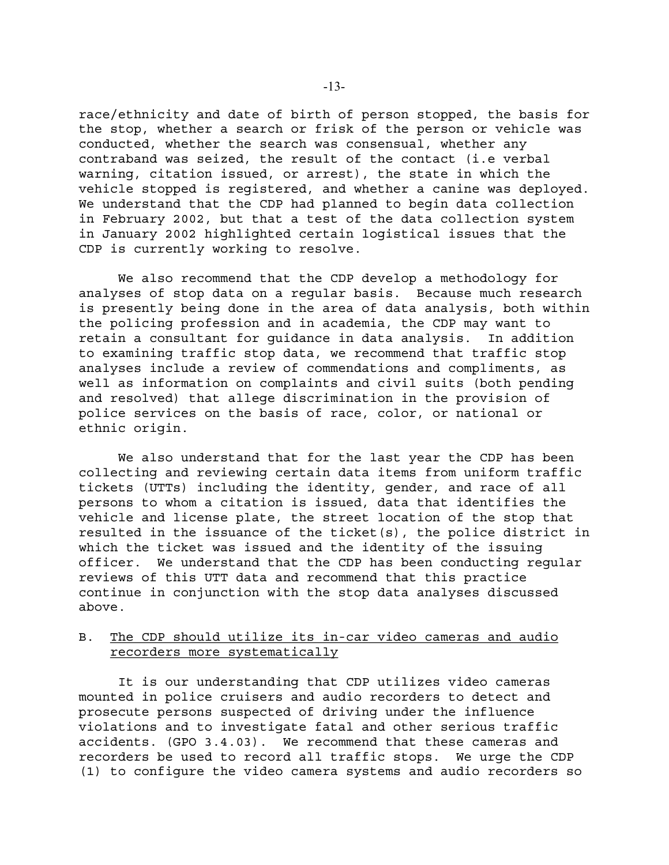race/ethnicity and date of birth of person stopped, the basis for the stop, whether a search or frisk of the person or vehicle was conducted, whether the search was consensual, whether any contraband was seized, the result of the contact (i.e verbal warning, citation issued, or arrest), the state in which the vehicle stopped is registered, and whether a canine was deployed. We understand that the CDP had planned to begin data collection in February 2002, but that a test of the data collection system in January 2002 highlighted certain logistical issues that the CDP is currently working to resolve.

We also recommend that the CDP develop a methodology for analyses of stop data on a regular basis. Because much research is presently being done in the area of data analysis, both within the policing profession and in academia, the CDP may want to retain a consultant for guidance in data analysis. In addition to examining traffic stop data, we recommend that traffic stop analyses include a review of commendations and compliments, as well as information on complaints and civil suits (both pending and resolved) that allege discrimination in the provision of police services on the basis of race, color, or national or ethnic origin.

We also understand that for the last year the CDP has been collecting and reviewing certain data items from uniform traffic tickets (UTTs) including the identity, gender, and race of all persons to whom a citation is issued, data that identifies the vehicle and license plate, the street location of the stop that resulted in the issuance of the ticket(s), the police district in which the ticket was issued and the identity of the issuing officer. We understand that the CDP has been conducting regular reviews of this UTT data and recommend that this practice continue in conjunction with the stop data analyses discussed above.

### B. The CDP should utilize its in-car video cameras and audio recorders more systematically

It is our understanding that CDP utilizes video cameras mounted in police cruisers and audio recorders to detect and prosecute persons suspected of driving under the influence violations and to investigate fatal and other serious traffic accidents. (GPO 3.4.03). We recommend that these cameras and recorders be used to record all traffic stops. We urge the CDP (1) to configure the video camera systems and audio recorders so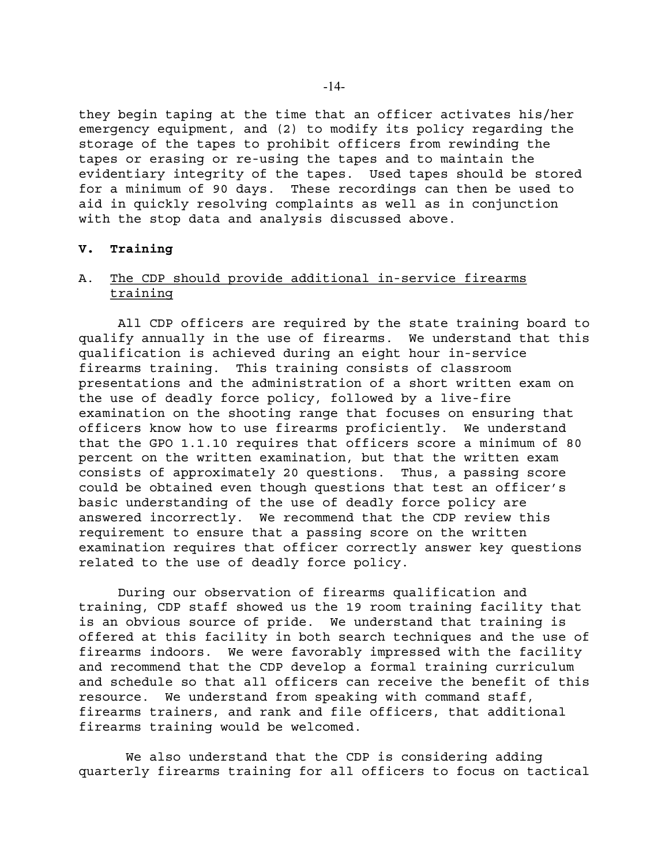they begin taping at the time that an officer activates his/her emergency equipment, and (2) to modify its policy regarding the storage of the tapes to prohibit officers from rewinding the tapes or erasing or re-using the tapes and to maintain the evidentiary integrity of the tapes. Used tapes should be stored for a minimum of 90 days. These recordings can then be used to aid in quickly resolving complaints as well as in conjunction with the stop data and analysis discussed above.

#### **V. Training**

## A. The CDP should provide additional in-service firearms training

All CDP officers are required by the state training board to qualify annually in the use of firearms. We understand that this qualification is achieved during an eight hour in-service firearms training. This training consists of classroom presentations and the administration of a short written exam on the use of deadly force policy, followed by a live-fire examination on the shooting range that focuses on ensuring that officers know how to use firearms proficiently. We understand that the GPO 1.1.10 requires that officers score a minimum of 80 percent on the written examination, but that the written exam consists of approximately 20 questions. Thus, a passing score could be obtained even though questions that test an officer's basic understanding of the use of deadly force policy are answered incorrectly. We recommend that the CDP review this requirement to ensure that a passing score on the written examination requires that officer correctly answer key questions related to the use of deadly force policy.

During our observation of firearms qualification and training, CDP staff showed us the 19 room training facility that is an obvious source of pride. We understand that training is offered at this facility in both search techniques and the use of firearms indoors. We were favorably impressed with the facility and recommend that the CDP develop a formal training curriculum and schedule so that all officers can receive the benefit of this resource. We understand from speaking with command staff, firearms trainers, and rank and file officers, that additional firearms training would be welcomed.

 We also understand that the CDP is considering adding quarterly firearms training for all officers to focus on tactical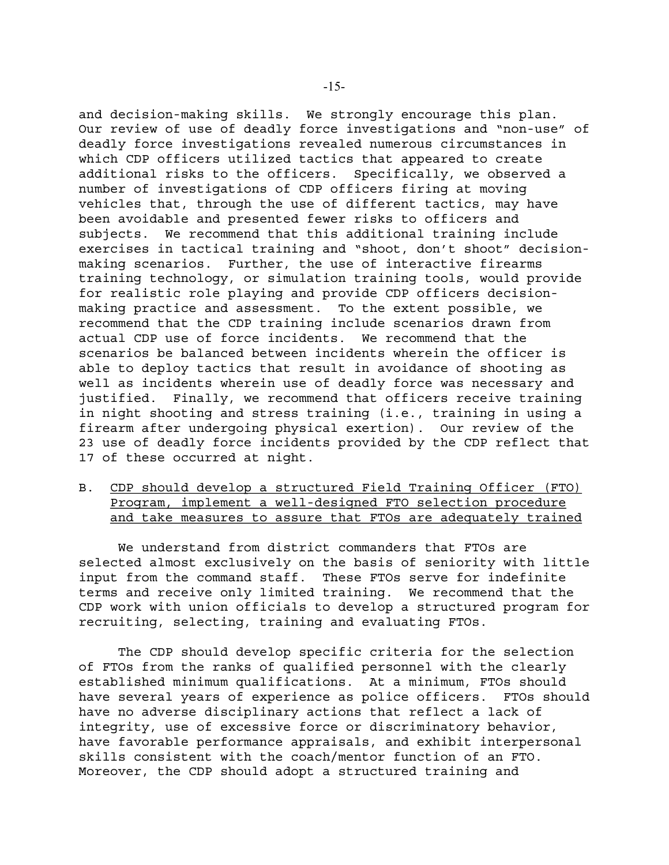and decision-making skills. We strongly encourage this plan. Our review of use of deadly force investigations and "non-use" of deadly force investigations revealed numerous circumstances in which CDP officers utilized tactics that appeared to create additional risks to the officers. Specifically, we observed a number of investigations of CDP officers firing at moving vehicles that, through the use of different tactics, may have been avoidable and presented fewer risks to officers and subjects. We recommend that this additional training include exercises in tactical training and "shoot, don't shoot" decisionmaking scenarios. Further, the use of interactive firearms training technology, or simulation training tools, would provide for realistic role playing and provide CDP officers decisionmaking practice and assessment. To the extent possible, we recommend that the CDP training include scenarios drawn from actual CDP use of force incidents. We recommend that the scenarios be balanced between incidents wherein the officer is able to deploy tactics that result in avoidance of shooting as well as incidents wherein use of deadly force was necessary and justified. Finally, we recommend that officers receive training in night shooting and stress training (i.e., training in using a firearm after undergoing physical exertion). Our review of the 23 use of deadly force incidents provided by the CDP reflect that 17 of these occurred at night.

# B. CDP should develop a structured Field Training Officer (FTO) Program, implement a well-designed FTO selection procedure and take measures to assure that FTOs are adequately trained

We understand from district commanders that FTOs are selected almost exclusively on the basis of seniority with little input from the command staff. These FTOs serve for indefinite terms and receive only limited training. We recommend that the CDP work with union officials to develop a structured program for recruiting, selecting, training and evaluating FTOs.

The CDP should develop specific criteria for the selection of FTOs from the ranks of qualified personnel with the clearly established minimum qualifications. At a minimum, FTOs should have several years of experience as police officers. FTOs should have no adverse disciplinary actions that reflect a lack of integrity, use of excessive force or discriminatory behavior, have favorable performance appraisals, and exhibit interpersonal skills consistent with the coach/mentor function of an FTO. Moreover, the CDP should adopt a structured training and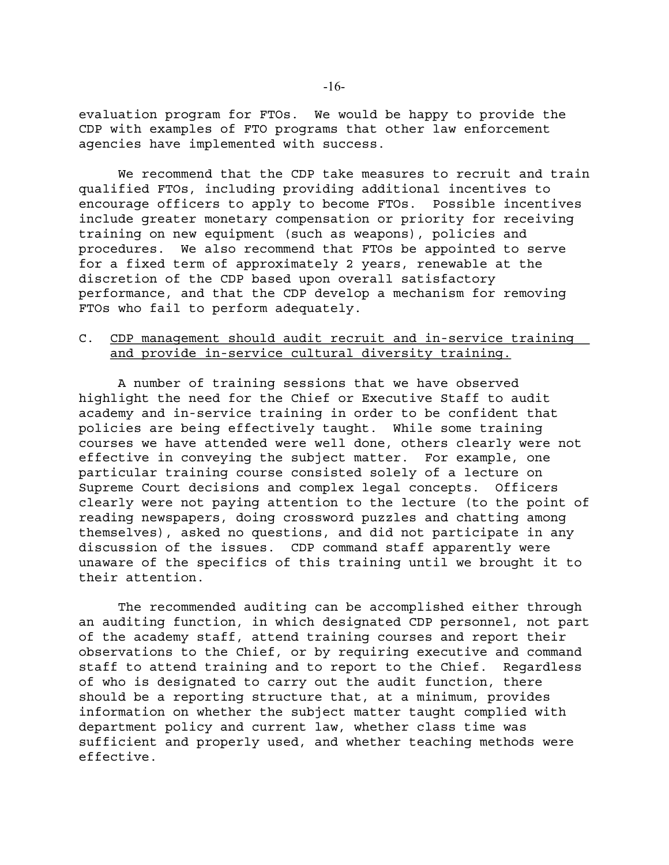evaluation program for FTOs. We would be happy to provide the CDP with examples of FTO programs that other law enforcement agencies have implemented with success.

We recommend that the CDP take measures to recruit and train qualified FTOs, including providing additional incentives to encourage officers to apply to become FTOs. Possible incentives include greater monetary compensation or priority for receiving training on new equipment (such as weapons), policies and procedures. We also recommend that FTOs be appointed to serve for a fixed term of approximately 2 years, renewable at the discretion of the CDP based upon overall satisfactory performance, and that the CDP develop a mechanism for removing FTOs who fail to perform adequately.

## C. CDP management should audit recruit and in-service training and provide in-service cultural diversity training.

A number of training sessions that we have observed highlight the need for the Chief or Executive Staff to audit academy and in-service training in order to be confident that policies are being effectively taught. While some training courses we have attended were well done, others clearly were not effective in conveying the subject matter. For example, one particular training course consisted solely of a lecture on Supreme Court decisions and complex legal concepts. Officers clearly were not paying attention to the lecture (to the point of reading newspapers, doing crossword puzzles and chatting among themselves), asked no questions, and did not participate in any discussion of the issues. CDP command staff apparently were unaware of the specifics of this training until we brought it to their attention.

The recommended auditing can be accomplished either through an auditing function, in which designated CDP personnel, not part of the academy staff, attend training courses and report their observations to the Chief, or by requiring executive and command staff to attend training and to report to the Chief. Regardless of who is designated to carry out the audit function, there should be a reporting structure that, at a minimum, provides information on whether the subject matter taught complied with department policy and current law, whether class time was sufficient and properly used, and whether teaching methods were effective.